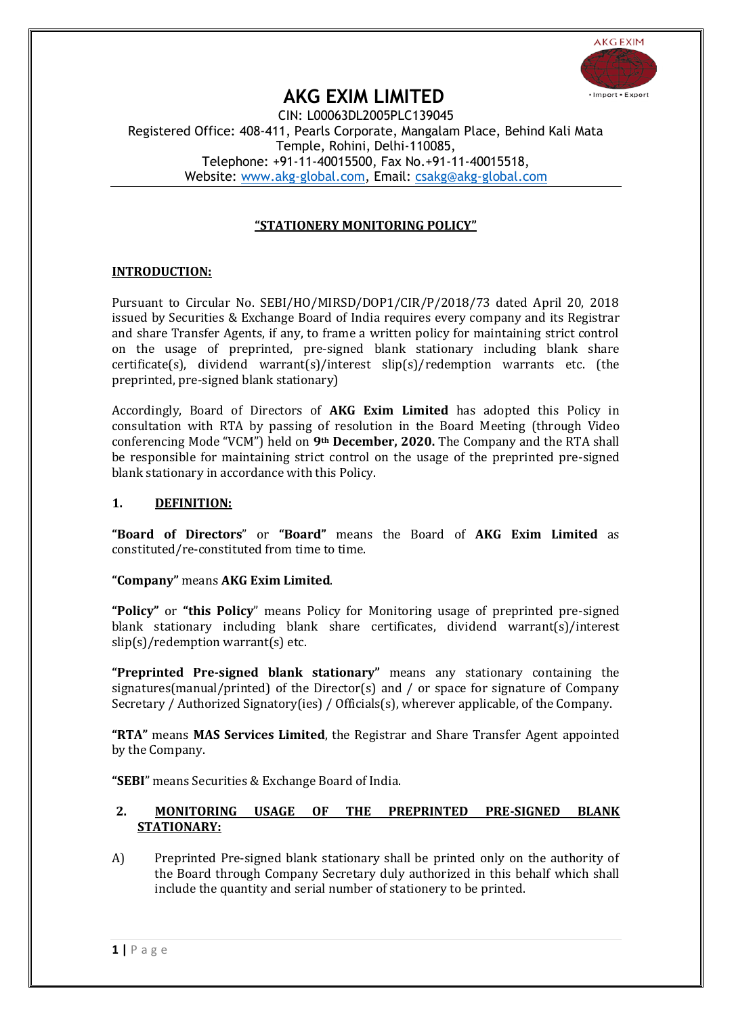

# **AKG EXIM LIMITED**

CIN: L00063DL2005PLC139045 Registered Office: 408-411, Pearls Corporate, Mangalam Place, Behind Kali Mata Temple, Rohini, Delhi-110085, Telephone: +91-11-40015500, Fax No.+91-11-40015518, Website: [www.akg-global.com,](file:///C:/Users/HARJIT/Desktop/Annual%20Return/www.akg-global.com) Email: [csakg@akg-global.com](file:///C:/Users/HARJIT/Desktop/Annual%20Return/csakg@akg-global.com)

# **"STATIONERY MONITORING POLICY"**

# **INTRODUCTION:**

Pursuant to Circular No. SEBI/HO/MIRSD/DOP1/CIR/P/2018/73 dated April 20, 2018 issued by Securities & Exchange Board of India requires every company and its Registrar and share Transfer Agents, if any, to frame a written policy for maintaining strict control on the usage of preprinted, pre-signed blank stationary including blank share certificate(s), dividend warrant(s)/interest slip(s)/redemption warrants etc. (the preprinted, pre-signed blank stationary)

Accordingly, Board of Directors of **AKG Exim Limited** has adopted this Policy in consultation with RTA by passing of resolution in the Board Meeting (through Video conferencing Mode "VCM") held on **9th December, 2020.** The Company and the RTA shall be responsible for maintaining strict control on the usage of the preprinted pre-signed blank stationary in accordance with this Policy.

# **1. DEFINITION:**

**"Board of Directors**" or **"Board"** means the Board of **AKG Exim Limited** as constituted/re-constituted from time to time.

# **"Company"** means **AKG Exim Limited**.

**"Policy"** or **"this Policy**" means Policy for Monitoring usage of preprinted pre-signed blank stationary including blank share certificates, dividend warrant(s)/interest slip(s)/redemption warrant(s) etc.

**"Preprinted Pre-signed blank stationary"** means any stationary containing the signatures(manual/printed) of the Director(s) and / or space for signature of Company Secretary / Authorized Signatory(ies) / Officials(s), wherever applicable, of the Company.

**"RTA"** means **MAS Services Limited**, the Registrar and Share Transfer Agent appointed by the Company.

**"SEBI**" means Securities & Exchange Board of India.

# **2. MONITORING USAGE OF THE PREPRINTED PRE-SIGNED BLANK STATIONARY:**

A) Preprinted Pre-signed blank stationary shall be printed only on the authority of the Board through Company Secretary duly authorized in this behalf which shall include the quantity and serial number of stationery to be printed.